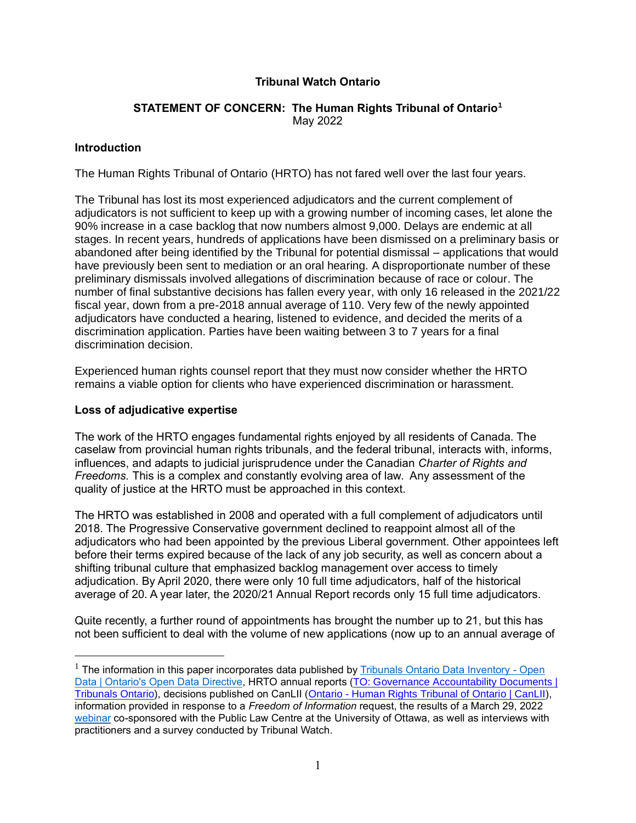# **Tribunal Watch Ontario**

## **STATEMENT OF CONCERN: The Human Rights Tribunal of Ontario<sup>1</sup>** May 2022

### **Introduction**

The Human Rights Tribunal of Ontario (HRTO) has not fared well over the last four years.

The Tribunal has lost its most experienced adjudicators and the current complement of adjudicators is not sufficient to keep up with a growing number of incoming cases, let alone the 90% increase in a case backlog that now numbers almost 9,000. Delays are endemic at all stages. In recent years, hundreds of applications have been dismissed on a preliminary basis or abandoned after being identified by the Tribunal for potential dismissal – applications that would have previously been sent to mediation or an oral hearing. A disproportionate number of these preliminary dismissals involved allegations of discrimination because of race or colour. The number of final substantive decisions has fallen every year, with only 16 released in the 2021/22 fiscal year, down from a pre-2018 annual average of 110. Very few of the newly appointed adjudicators have conducted a hearing, listened to evidence, and decided the merits of a discrimination application. Parties have been waiting between 3 to 7 years for a final discrimination decision.

Experienced human rights counsel report that they must now consider whether the HRTO remains a viable option for clients who have experienced discrimination or harassment.

### **Loss of adjudicative expertise**

The work of the HRTO engages fundamental rights enjoyed by all residents of Canada. The caselaw from provincial human rights tribunals, and the federal tribunal, interacts with, informs, influences, and adapts to judicial jurisprudence under the Canadian *Charter of Rights and Freedoms.* This is a complex and constantly evolving area of law. Any assessment of the quality of justice at the HRTO must be approached in this context.

The HRTO was established in 2008 and operated with a full complement of adjudicators until 2018. The Progressive Conservative government declined to reappoint almost all of the adjudicators who had been appointed by the previous Liberal government. Other appointees left before their terms expired because of the lack of any job security, as well as concern about a shifting tribunal culture that emphasized backlog management over access to timely adjudication. By April 2020, there were only 10 full time adjudicators, half of the historical average of 20. A year later, the 2020/21 Annual Report records only 15 full time adjudicators.

Quite recently, a further round of appointments has brought the number up to 21, but this has not been sufficient to deal with the volume of new applications (now up to an annual average of

 $<sup>1</sup>$  The information in this paper incorporates data published by [Tribunals Ontario Data Inventory -](https://tribunalsontario.ca/en/open/) Open</sup> [Data | Ontario's Open Data Directive,](https://tribunalsontario.ca/en/open/) HRTO annual reports (TO: Governance Accountability Documents | [Tribunals Ontario\)](https://tribunalsontario.ca/en/governance-accountability-documents/), decisions published on CanLII (Ontario - [Human Rights Tribunal of Ontario | CanLII\)](https://www.canlii.org/en/on/onhrt/), information provided in response to a *Freedom of Information* request, the results of a March 29, 2022 [webinar](https://www.youtube.com/watch?v=GkNIuKQsLdw) co-sponsored with the Public Law Centre at the University of Ottawa, as well as interviews with practitioners and a survey conducted by Tribunal Watch.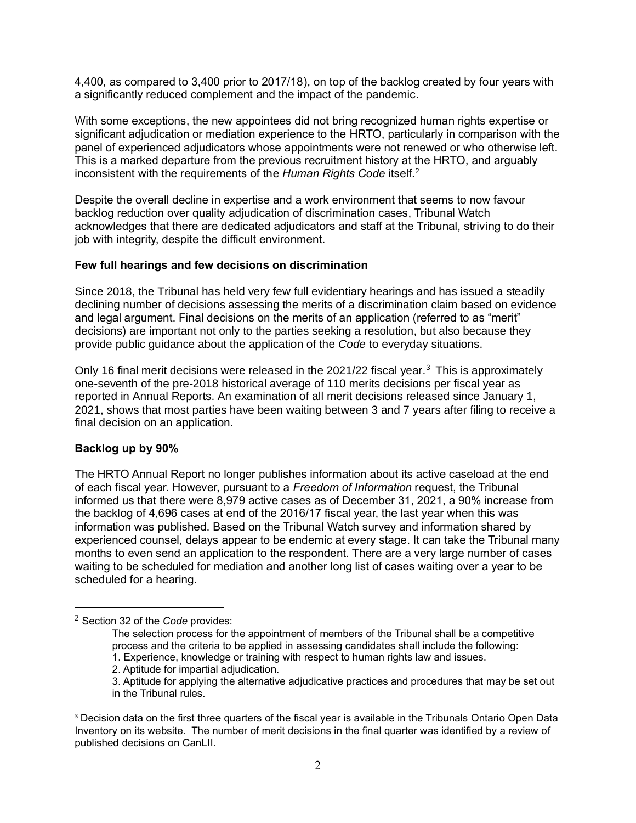4,400, as compared to 3,400 prior to 2017/18), on top of the backlog created by four years with a significantly reduced complement and the impact of the pandemic.

With some exceptions, the new appointees did not bring recognized human rights expertise or significant adjudication or mediation experience to the HRTO, particularly in comparison with the panel of experienced adjudicators whose appointments were not renewed or who otherwise left. This is a marked departure from the previous recruitment history at the HRTO, and arguably inconsistent with the requirements of the *Human Rights Code* itself.<sup>2</sup>

Despite the overall decline in expertise and a work environment that seems to now favour backlog reduction over quality adjudication of discrimination cases, Tribunal Watch acknowledges that there are dedicated adjudicators and staff at the Tribunal, striving to do their job with integrity, despite the difficult environment.

### **Few full hearings and few decisions on discrimination**

Since 2018, the Tribunal has held very few full evidentiary hearings and has issued a steadily declining number of decisions assessing the merits of a discrimination claim based on evidence and legal argument. Final decisions on the merits of an application (referred to as "merit" decisions) are important not only to the parties seeking a resolution, but also because they provide public guidance about the application of the *Code* to everyday situations.

Only 16 final merit decisions were released in the 2021/22 fiscal year.<sup>3</sup> This is approximately one-seventh of the pre-2018 historical average of 110 merits decisions per fiscal year as reported in Annual Reports. An examination of all merit decisions released since January 1, 2021, shows that most parties have been waiting between 3 and 7 years after filing to receive a final decision on an application.

## **Backlog up by 90%**

The HRTO Annual Report no longer publishes information about its active caseload at the end of each fiscal year. However, pursuant to a *Freedom of Information* request, the Tribunal informed us that there were 8,979 active cases as of December 31, 2021, a 90% increase from the backlog of 4,696 cases at end of the 2016/17 fiscal year, the last year when this was information was published. Based on the Tribunal Watch survey and information shared by experienced counsel, delays appear to be endemic at every stage. It can take the Tribunal many months to even send an application to the respondent. There are a very large number of cases waiting to be scheduled for mediation and another long list of cases waiting over a year to be scheduled for a hearing.

<sup>2</sup> Section 32 of the *Code* provides:

The selection process for the appointment of members of the Tribunal shall be a competitive process and the criteria to be applied in assessing candidates shall include the following:

<sup>1.</sup> Experience, knowledge or training with respect to human rights law and issues.

<sup>2.</sup> Aptitude for impartial adjudication.

<sup>3.</sup> Aptitude for applying the alternative adjudicative practices and procedures that may be set out in the Tribunal rules.

<sup>&</sup>lt;sup>3</sup> Decision data on the first three quarters of the fiscal year is available in the Tribunals Ontario Open Data Inventory on its website. The number of merit decisions in the final quarter was identified by a review of published decisions on CanLII.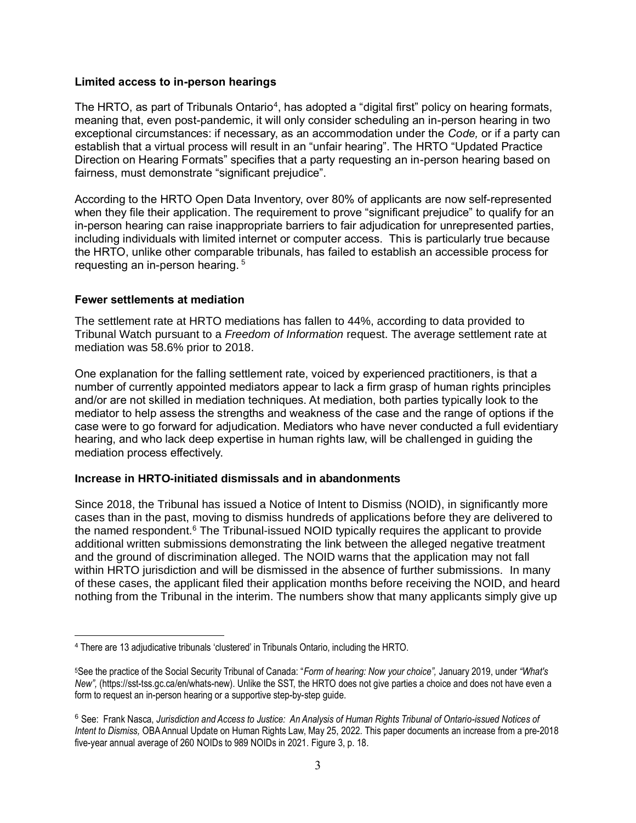### **Limited access to in-person hearings**

The HRTO, as part of Tribunals Ontario<sup>4</sup>, has adopted a "digital first" policy on hearing formats, meaning that, even post-pandemic, it will only consider scheduling an in-person hearing in two exceptional circumstances: if necessary, as an accommodation under the *Code,* or if a party can establish that a virtual process will result in an "unfair hearing". The HRTO "Updated Practice Direction on Hearing Formats" specifies that a party requesting an in-person hearing based on fairness, must demonstrate "significant prejudice".

According to the HRTO Open Data Inventory, over 80% of applicants are now self-represented when they file their application. The requirement to prove "significant prejudice" to qualify for an in-person hearing can raise inappropriate barriers to fair adjudication for unrepresented parties, including individuals with limited internet or computer access. This is particularly true because the HRTO, unlike other comparable tribunals, has failed to establish an accessible process for requesting an in-person hearing.<sup>5</sup>

### **Fewer settlements at mediation**

The settlement rate at HRTO mediations has fallen to 44%, according to data provided to Tribunal Watch pursuant to a *Freedom of Information* request. The average settlement rate at mediation was 58.6% prior to 2018.

One explanation for the falling settlement rate, voiced by experienced practitioners, is that a number of currently appointed mediators appear to lack a firm grasp of human rights principles and/or are not skilled in mediation techniques. At mediation, both parties typically look to the mediator to help assess the strengths and weakness of the case and the range of options if the case were to go forward for adjudication. Mediators who have never conducted a full evidentiary hearing, and who lack deep expertise in human rights law, will be challenged in guiding the mediation process effectively.

## **Increase in HRTO-initiated dismissals and in abandonments**

Since 2018, the Tribunal has issued a Notice of Intent to Dismiss (NOID), in significantly more cases than in the past, moving to dismiss hundreds of applications before they are delivered to the named respondent.<sup>6</sup> The Tribunal-issued NOID typically requires the applicant to provide additional written submissions demonstrating the link between the alleged negative treatment and the ground of discrimination alleged. The NOID warns that the application may not fall within HRTO jurisdiction and will be dismissed in the absence of further submissions. In many of these cases, the applicant filed their application months before receiving the NOID, and heard nothing from the Tribunal in the interim. The numbers show that many applicants simply give up

<sup>4</sup> There are 13 adjudicative tribunals 'clustered' in Tribunals Ontario, including the HRTO.

<sup>5</sup>See the practice of the Social Security Tribunal of Canada: "*Form of hearing: Now your choice",* January 2019, under *"What's New",* (https://sst-tss.gc.ca/en/whats-new). Unlike the SST, the HRTO does not give parties a choice and does not have even a form to request an in-person hearing or a supportive step-by-step guide.

<sup>6</sup> See: Frank Nasca, *Jurisdiction and Access to Justice: An Analysis of Human Rights Tribunal of Ontario-issued Notices of Intent to Dismiss,* OBA Annual Update on Human Rights Law, May 25, 2022. This paper documents an increase from a pre-2018 five-year annual average of 260 NOIDs to 989 NOIDs in 2021. Figure 3, p. 18.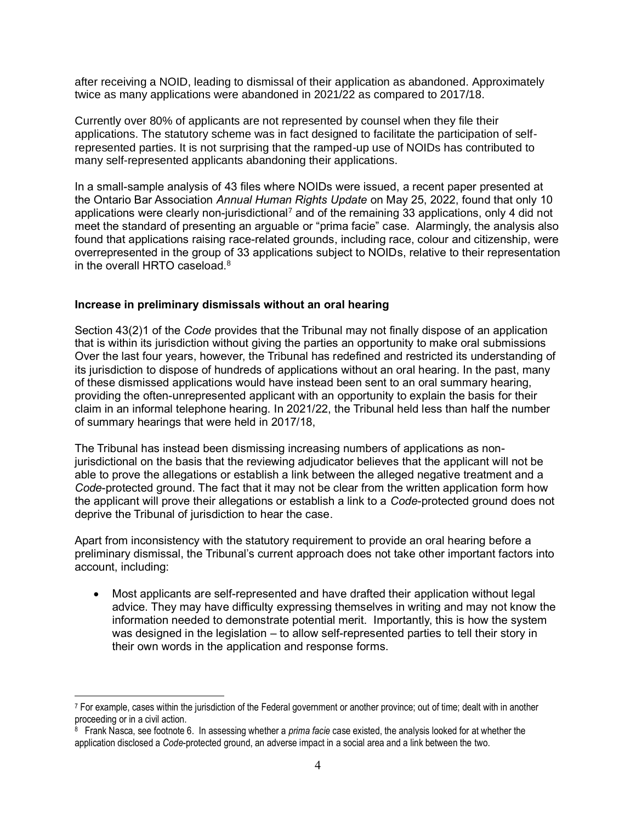after receiving a NOID, leading to dismissal of their application as abandoned. Approximately twice as many applications were abandoned in 2021/22 as compared to 2017/18.

Currently over 80% of applicants are not represented by counsel when they file their applications. The statutory scheme was in fact designed to facilitate the participation of selfrepresented parties. It is not surprising that the ramped-up use of NOIDs has contributed to many self-represented applicants abandoning their applications.

In a small-sample analysis of 43 files where NOIDs were issued, a recent paper presented at the Ontario Bar Association *Annual Human Rights Update* on May 25, 2022, found that only 10 applications were clearly non-jurisdictional<sup>7</sup> and of the remaining 33 applications, only 4 did not meet the standard of presenting an arguable or "prima facie" case. Alarmingly, the analysis also found that applications raising race-related grounds, including race, colour and citizenship, were overrepresented in the group of 33 applications subject to NOIDs, relative to their representation in the overall HRTO caseload. $^8$ 

### **Increase in preliminary dismissals without an oral hearing**

Section 43(2)1 of the *Code* provides that the Tribunal may not finally dispose of an application that is within its jurisdiction without giving the parties an opportunity to make oral submissions Over the last four years, however, the Tribunal has redefined and restricted its understanding of its jurisdiction to dispose of hundreds of applications without an oral hearing. In the past, many of these dismissed applications would have instead been sent to an oral summary hearing, providing the often-unrepresented applicant with an opportunity to explain the basis for their claim in an informal telephone hearing. In 2021/22, the Tribunal held less than half the number of summary hearings that were held in 2017/18,

The Tribunal has instead been dismissing increasing numbers of applications as nonjurisdictional on the basis that the reviewing adjudicator believes that the applicant will not be able to prove the allegations or establish a link between the alleged negative treatment and a *Code*-protected ground. The fact that it may not be clear from the written application form how the applicant will prove their allegations or establish a link to a *Code*-protected ground does not deprive the Tribunal of jurisdiction to hear the case.

Apart from inconsistency with the statutory requirement to provide an oral hearing before a preliminary dismissal, the Tribunal's current approach does not take other important factors into account, including:

• Most applicants are self-represented and have drafted their application without legal advice. They may have difficulty expressing themselves in writing and may not know the information needed to demonstrate potential merit. Importantly, this is how the system was designed in the legislation – to allow self-represented parties to tell their story in their own words in the application and response forms.

<sup>7</sup> For example, cases within the jurisdiction of the Federal government or another province; out of time; dealt with in another proceeding or in a civil action.

<sup>8</sup> Frank Nasca, see footnote 6. In assessing whether a *prima facie* case existed, the analysis looked for at whether the application disclosed a *Code*-protected ground, an adverse impact in a social area and a link between the two.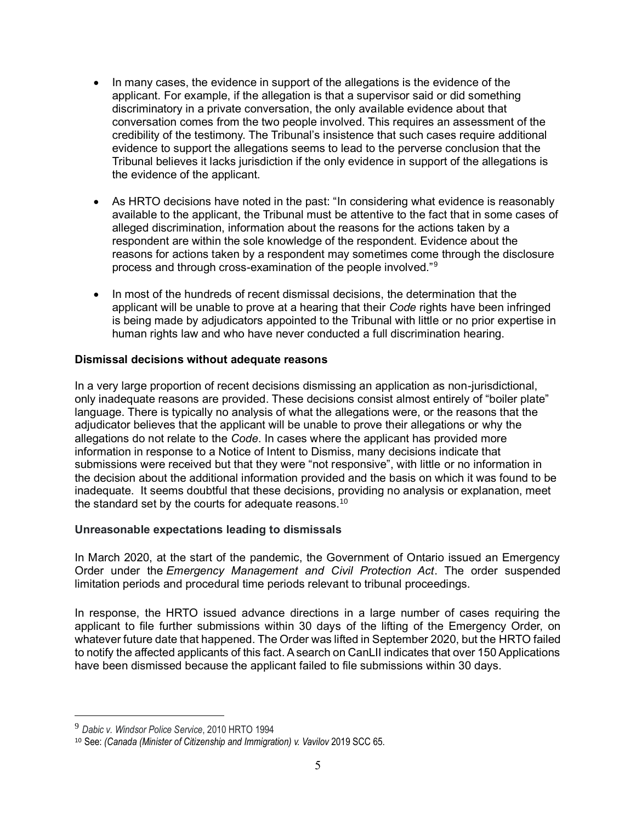- In many cases, the evidence in support of the allegations is the evidence of the applicant. For example, if the allegation is that a supervisor said or did something discriminatory in a private conversation, the only available evidence about that conversation comes from the two people involved. This requires an assessment of the credibility of the testimony. The Tribunal's insistence that such cases require additional evidence to support the allegations seems to lead to the perverse conclusion that the Tribunal believes it lacks jurisdiction if the only evidence in support of the allegations is the evidence of the applicant.
- As HRTO decisions have noted in the past: "In considering what evidence is reasonably available to the applicant, the Tribunal must be attentive to the fact that in some cases of alleged discrimination, information about the reasons for the actions taken by a respondent are within the sole knowledge of the respondent. Evidence about the reasons for actions taken by a respondent may sometimes come through the disclosure process and through cross-examination of the people involved."<sup>9</sup>
- In most of the hundreds of recent dismissal decisions, the determination that the applicant will be unable to prove at a hearing that their *Code* rights have been infringed is being made by adjudicators appointed to the Tribunal with little or no prior expertise in human rights law and who have never conducted a full discrimination hearing.

## **Dismissal decisions without adequate reasons**

In a very large proportion of recent decisions dismissing an application as non-jurisdictional, only inadequate reasons are provided. These decisions consist almost entirely of "boiler plate" language. There is typically no analysis of what the allegations were, or the reasons that the adjudicator believes that the applicant will be unable to prove their allegations or why the allegations do not relate to the *Code*. In cases where the applicant has provided more information in response to a Notice of Intent to Dismiss, many decisions indicate that submissions were received but that they were "not responsive", with little or no information in the decision about the additional information provided and the basis on which it was found to be inadequate. It seems doubtful that these decisions, providing no analysis or explanation, meet the standard set by the courts for adequate reasons.<sup>10</sup>

#### **Unreasonable expectations leading to dismissals**

In March 2020, at the start of the pandemic, the Government of Ontario issued an Emergency Order under the *Emergency Management and Civil Protection Act*. The order suspended limitation periods and procedural time periods relevant to tribunal proceedings.

In response, the HRTO issued advance directions in a large number of cases requiring the applicant to file further submissions within 30 days of the lifting of the Emergency Order, on whatever future date that happened. The Order was lifted in September 2020, but the HRTO failed to notify the affected applicants of this fact. A search on CanLII indicates that over 150 Applications have been dismissed because the applicant failed to file submissions within 30 days.

<sup>9</sup> *Dabic v. Windsor Police Service*, 2010 HRTO 1994

<sup>10</sup> See: *(Canada (Minister of Citizenship and Immigration) v. Vavilov* 2019 SCC 65.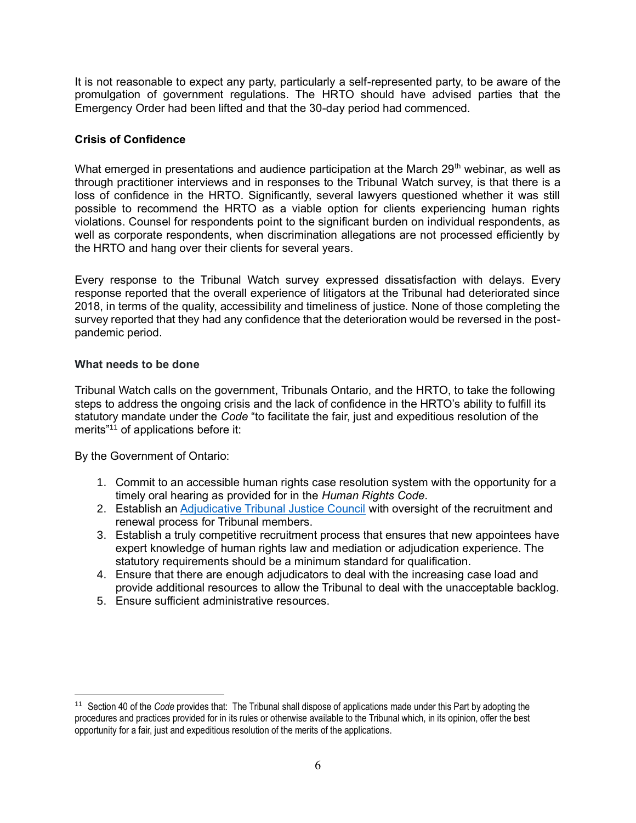It is not reasonable to expect any party, particularly a self-represented party, to be aware of the promulgation of government regulations. The HRTO should have advised parties that the Emergency Order had been lifted and that the 30-day period had commenced.

# **Crisis of Confidence**

What emerged in presentations and audience participation at the March  $29<sup>th</sup>$  webinar, as well as through practitioner interviews and in responses to the Tribunal Watch survey, is that there is a loss of confidence in the HRTO. Significantly, several lawyers questioned whether it was still possible to recommend the HRTO as a viable option for clients experiencing human rights violations. Counsel for respondents point to the significant burden on individual respondents, as well as corporate respondents, when discrimination allegations are not processed efficiently by the HRTO and hang over their clients for several years.

Every response to the Tribunal Watch survey expressed dissatisfaction with delays. Every response reported that the overall experience of litigators at the Tribunal had deteriorated since 2018, in terms of the quality, accessibility and timeliness of justice. None of those completing the survey reported that they had any confidence that the deterioration would be reversed in the postpandemic period.

## **What needs to be done**

Tribunal Watch calls on the government, Tribunals Ontario, and the HRTO, to take the following steps to address the ongoing crisis and the lack of confidence in the HRTO's ability to fulfill its statutory mandate under the *Code* "to facilitate the fair, just and expeditious resolution of the merits $11$ <sup>1</sup> of applications before it:

By the Government of Ontario:

- 1. Commit to an accessible human rights case resolution system with the opportunity for a timely oral hearing as provided for in the *Human Rights Code*.
- 2. Establish a[n Adjudicative Tribunal Justice Council](https://tribunalwatch.ca/wp-content/uploads/2021/11/adjudicative-tribunal-justice-council-proposal-2021-09-16-formatted.pdf) with oversight of the recruitment and renewal process for Tribunal members.
- 3. Establish a truly competitive recruitment process that ensures that new appointees have expert knowledge of human rights law and mediation or adjudication experience. The statutory requirements should be a minimum standard for qualification.
- 4. Ensure that there are enough adjudicators to deal with the increasing case load and provide additional resources to allow the Tribunal to deal with the unacceptable backlog.
- 5. Ensure sufficient administrative resources.

<sup>11</sup> Section 40 of the *Code* provides that: The Tribunal shall dispose of applications made under this Part by adopting the procedures and practices provided for in its rules or otherwise available to the Tribunal which, in its opinion, offer the best opportunity for a fair, just and expeditious resolution of the merits of the applications.